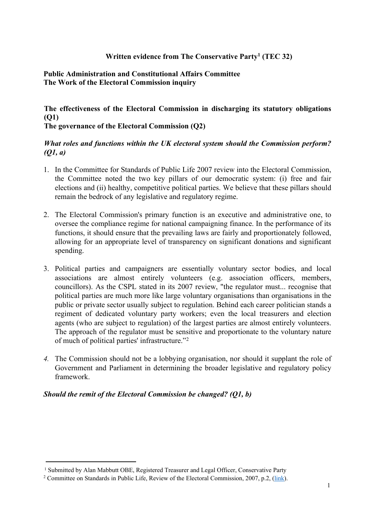# **Written evidence from The Conservative Party<sup>1</sup> (TEC 32)**

# **Public Administration and Constitutional Affairs Committee The Work of the Electoral Commission inquiry**

# **The effectiveness of the Electoral Commission in discharging its statutory obligations (Q1)**

**The governance of the Electoral Commission (Q2)**

# *What roles and functions within the UK electoral system should the Commission perform? (Q1, a)*

- 1. In the Committee for Standards of Public Life 2007 review into the Electoral Commission, the Committee noted the two key pillars of our democratic system: (i) free and fair elections and (ii) healthy, competitive political parties. We believe that these pillars should remain the bedrock of any legislative and regulatory regime.
- 2. The Electoral Commission's primary function is an executive and administrative one, to oversee the compliance regime for national campaigning finance. In the performance of its functions, it should ensure that the prevailing laws are fairly and proportionately followed, allowing for an appropriate level of transparency on significant donations and significant spending.
- 3. Political parties and campaigners are essentially voluntary sector bodies, and local associations are almost entirely volunteers (e.g. association officers, members, councillors). As the CSPL stated in its 2007 review, "the regulator must... recognise that political parties are much more like large voluntary organisations than organisations in the public or private sector usually subject to regulation. Behind each career politician stands a regiment of dedicated voluntary party workers; even the local treasurers and election agents (who are subject to regulation) of the largest parties are almost entirely volunteers. The approach of the regulator must be sensitive and proportionate to the voluntary nature of much of political parties' infrastructure."<sup>2</sup>
- *4.* The Commission should not be a lobbying organisation, nor should it supplant the role of Government and Parliament in determining the broader legislative and regulatory policy framework.

## *Should the remit of the Electoral Commission be changed? (Q1, b)*

<sup>1</sup> Submitted by Alan Mabbutt OBE, Registered Treasurer and Legal Officer, Conservative Party

<sup>&</sup>lt;sup>2</sup> Committee on Standards in Public Life, Review of the Electoral Commission, 2007, p.2, ([link](https://www.gov.uk/government/publications/review-of-the-electoral-commission-eleventh-report-of-the-committee-on-standards-in-public-life)).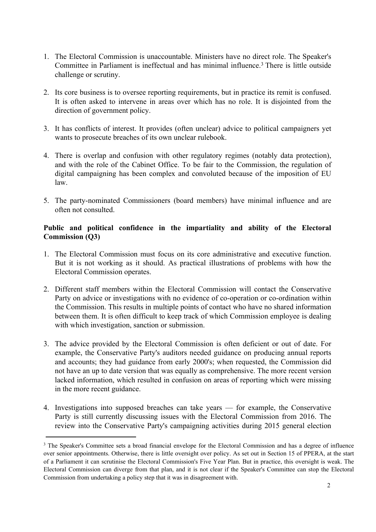- 1. The Electoral Commission is unaccountable. Ministers have no direct role. The Speaker's Committee in Parliament is ineffectual and has minimal influence.<sup>3</sup> There is little outside challenge or scrutiny.
- 2. Its core business is to oversee reporting requirements, but in practice its remit is confused. It is often asked to intervene in areas over which has no role. It is disjointed from the direction of government policy.
- 3. It has conflicts of interest. It provides (often unclear) advice to political campaigners yet wants to prosecute breaches of its own unclear rulebook.
- 4. There is overlap and confusion with other regulatory regimes (notably data protection), and with the role of the Cabinet Office. To be fair to the Commission, the regulation of digital campaigning has been complex and convoluted because of the imposition of EU law.
- 5. The party-nominated Commissioners (board members) have minimal influence and are often not consulted.

## **Public and political confidence in the impartiality and ability of the Electoral Commission (Q3)**

- 1. The Electoral Commission must focus on its core administrative and executive function. But it is not working as it should. As practical illustrations of problems with how the Electoral Commission operates.
- 2. Different staff members within the Electoral Commission will contact the Conservative Party on advice or investigations with no evidence of co-operation or co-ordination within the Commission. This results in multiple points of contact who have no shared information between them. It is often difficult to keep track of which Commission employee is dealing with which investigation, sanction or submission.
- 3. The advice provided by the Electoral Commission is often deficient or out of date. For example, the Conservative Party's auditors needed guidance on producing annual reports and accounts; they had guidance from early 2000's; when requested, the Commission did not have an up to date version that was equally as comprehensive. The more recent version lacked information, which resulted in confusion on areas of reporting which were missing in the more recent guidance.
- 4. Investigations into supposed breaches can take years for example, the Conservative Party is still currently discussing issues with the Electoral Commission from 2016. The review into the Conservative Party's campaigning activities during 2015 general election

<sup>&</sup>lt;sup>3</sup> The Speaker's Committee sets a broad financial envelope for the Electoral Commission and has a degree of influence over senior appointments. Otherwise, there is little oversight over policy. As set out in Section 15 of PPERA, at the start of a Parliament it can scrutinise the Electoral Commission's Five Year Plan. But in practice, this oversight is weak. The Electoral Commission can diverge from that plan, and it is not clear if the Speaker's Committee can stop the Electoral Commission from undertaking a policy step that it was in disagreement with.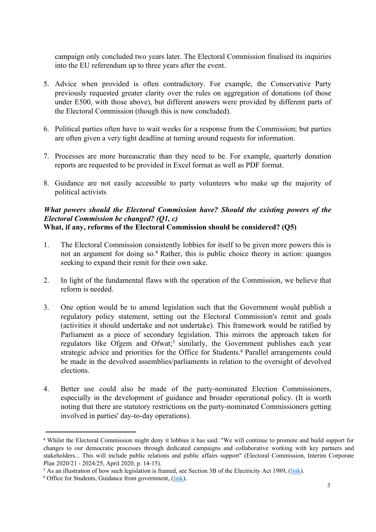campaign only concluded two years later. The Electoral Commission finalised its inquiries into the EU referendum up to three years after the event.

- 5. Advice when provided is often contradictory. For example, the Conservative Party previously requested greater clarity over the rules on aggregation of donations (of those under E500, with those above), but different answers were provided by different parts of the Electoral Commission (though this is now concluded).
- 6. Political parties often have to wait weeks for a response from the Commission; but parties are often given a very tight deadline at turning around requests for information.
- 7. Processes are more bureaucratic than they need to be. For example, quarterly donation reports are requested to be provided in Excel format as well as PDF format.
- 8. Guidance are not easily accessible to party volunteers who make up the majority of political activists

#### *What powers should the Electoral Commission have? Should the existing powers of the Electoral Commission be changed? (Q1, c)* **What, if any, reforms of the Electoral Commission should be considered? (Q5)**

- 1. The Electoral Commission consistently lobbies for itself to be given more powers this is not an argument for doing so.<sup>4</sup> Rather, this is public choice theory in action: quangos seeking to expand their remit for their own sake.
- 2. In light of the fundamental flaws with the operation of the Commission, we believe that reform is needed.
- 3. One option would be to amend legislation such that the Government would publish a regulatory policy statement, setting out the Electoral Commission's remit and goals (activities it should undertake and not undertake). This framework would be ratified by Parliament as a piece of secondary legislation. This mirrors the approach taken for regulators like Ofgem and Ofwat;<sup>5</sup> similarly, the Government publishes each year strategic advice and priorities for the Office for Students.<sup>6</sup> Parallel arrangements could be made in the devolved assemblies/parliaments in relation to the oversight of devolved elections.
- 4. Better use could also be made of the party-nominated Election Commissioners, especially in the development of guidance and broader operational policy. (It is worth noting that there are statutory restrictions on the party-nominated Commissioners getting involved in parties' day-to-day operations).

<sup>4</sup> Whilst the Electoral Commission might deny it lobbies it has said: "We will continue to promote and build support for changes to our democratic processes through dedicated campaigns and collaborative working with key partners and stakeholders... This will include public relations and public affairs support" (Electoral Commission, Interim Corporate Plan 2020/21 - 2024/25, April 2020, p. 14-15).

<sup>&</sup>lt;sup>5</sup> As an illustration of how such legislation is framed, see Section 3B of the Electricity Act 1989, [\(link](https://www.legislation.gov.uk/ukpga/1989/29/section/3B)).

<sup>&</sup>lt;sup>6</sup> Office for Students, Guidance from government, ([link](https://www.officeforstudents.org.uk/advice-and-guidance/regulation/guidance-from-government/)).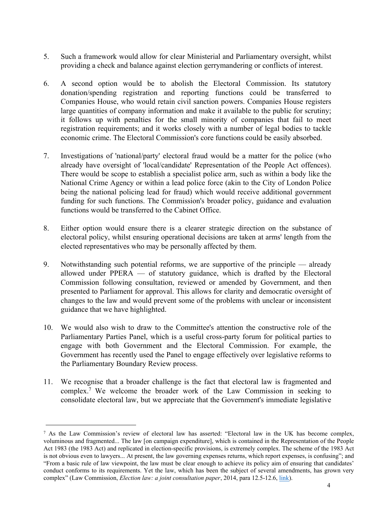- 5. Such a framework would allow for clear Ministerial and Parliamentary oversight, whilst providing a check and balance against election gerrymandering or conflicts of interest.
- 6. A second option would be to abolish the Electoral Commission. Its statutory donation/spending registration and reporting functions could be transferred to Companies House, who would retain civil sanction powers. Companies House registers large quantities of company information and make it available to the public for scrutiny; it follows up with penalties for the small minority of companies that fail to meet registration requirements; and it works closely with a number of legal bodies to tackle economic crime. The Electoral Commission's core functions could be easily absorbed.
- 7. Investigations of 'national/party' electoral fraud would be a matter for the police (who already have oversight of 'local/candidate' Representation of the People Act offences). There would be scope to establish a specialist police arm, such as within a body like the National Crime Agency or within a lead police force (akin to the City of London Police being the national policing lead for fraud) which would receive additional government funding for such functions. The Commission's broader policy, guidance and evaluation functions would be transferred to the Cabinet Office.
- 8. Either option would ensure there is a clearer strategic direction on the substance of electoral policy, whilst ensuring operational decisions are taken at arms' length from the elected representatives who may be personally affected by them.
- 9. Notwithstanding such potential reforms, we are supportive of the principle already allowed under PPERA — of statutory guidance, which is drafted by the Electoral Commission following consultation, reviewed or amended by Government, and then presented to Parliament for approval. This allows for clarity and democratic oversight of changes to the law and would prevent some of the problems with unclear or inconsistent guidance that we have highlighted.
- 10. We would also wish to draw to the Committee's attention the constructive role of the Parliamentary Parties Panel, which is a useful cross-party forum for political parties to engage with both Government and the Electoral Commission. For example, the Government has recently used the Panel to engage effectively over legislative reforms to the Parliamentary Boundary Review process.
- 11. We recognise that a broader challenge is the fact that electoral law is fragmented and complex.<sup>7</sup> We welcome the broader work of the Law Commission in seeking to consolidate electoral law, but we appreciate that the Government's immediate legislative

<sup>7</sup> As the Law Commission's review of electoral law has asserted: "Electoral law in the UK has become complex, voluminous and fragmented... The law [on campaign expenditure], which is contained in the Representation of the People Act 1983 (the 1983 Act) and replicated in election-specific provisions, is extremely complex. The scheme of the 1983 Act is not obvious even to lawyers... At present, the law governing expenses returns, which report expenses, is confusing"; and "From a basic rule of law viewpoint, the law must be clear enough to achieve its policy aim of ensuring that candidates' conduct conforms to its requirements. Yet the law, which has been the subject of several amendments, has grown very complex" (Law Commission, *Election law: a joint consultation paper*, 2014, para 12.5-12.6, [link\)](http://www.lawcom.gov.uk/app/uploads/2015/03/cp218_electoral_law.pdf).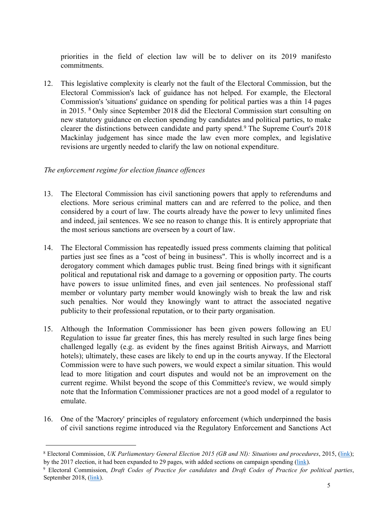priorities in the field of election law will be to deliver on its 2019 manifesto commitments.

12. This legislative complexity is clearly not the fault of the Electoral Commission, but the Electoral Commission's lack of guidance has not helped. For example, the Electoral Commission's 'situations' guidance on spending for political parties was a thin 14 pages in 2015. <sup>8</sup> Only since September 2018 did the Electoral Commission start consulting on new statutory guidance on election spending by candidates and political parties, to make clearer the distinctions between candidate and party spend.<sup>9</sup> The Supreme Court's 2018 Mackinlay judgement has since made the law even more complex, and legislative revisions are urgently needed to clarify the law on notional expenditure.

## *The enforcement regime for election finance offences*

- 13. The Electoral Commission has civil sanctioning powers that apply to referendums and elections. More serious criminal matters can and are referred to the police, and then considered by a court of law. The courts already have the power to levy unlimited fines and indeed, jail sentences. We see no reason to change this. It is entirely appropriate that the most serious sanctions are overseen by a court of law.
- 14. The Electoral Commission has repeatedly issued press comments claiming that political parties just see fines as a "cost of being in business". This is wholly incorrect and is a derogatory comment which damages public trust. Being fined brings with it significant political and reputational risk and damage to a governing or opposition party. The courts have powers to issue unlimited fines, and even jail sentences. No professional staff member or voluntary party member would knowingly wish to break the law and risk such penalties. Nor would they knowingly want to attract the associated negative publicity to their professional reputation, or to their party organisation.
- 15. Although the Information Commissioner has been given powers following an EU Regulation to issue far greater fines, this has merely resulted in such large fines being challenged legally (e.g. as evident by the fines against British Airways, and Marriott hotels); ultimately, these cases are likely to end up in the courts anyway. If the Electoral Commission were to have such powers, we would expect a similar situation. This would lead to more litigation and court disputes and would not be an improvement on the current regime. Whilst beyond the scope of this Committee's review, we would simply note that the Information Commissioner practices are not a good model of a regulator to emulate.
- 16. One of the 'Macrory' principles of regulatory enforcement (which underpinned the basis of civil sanctions regime introduced via the Regulatory Enforcement and Sanctions Act

<sup>8</sup> Electoral Commission, *UK Parliamentary General Election 2015 (GB and NI): Situations and procedures*, 2015, ([link\)](http://www.electoralcommission.org.uk/__data/assets/pdf_file/0009/164079/sp-ukpge-2015.pdf); by the 2017 election, it had been expanded to 29 pages, with added sections on campaign spending [\(link\)](http://www.electoralcommission.org.uk/__data/assets/pdf_file/0017/224810/UKPGE-2017-Political-Parties-guidance.pdf).

<sup>9</sup> Electoral Commission, *Draft Codes of Practice for candidates* and *Draft Codes of Practice for political parties*, September 2018, [\(link\)](https://www.electoralcommission.org.uk/sites/default/files/pdf_file/Codes-of-Practice-on-spending-by-candidates-and-political-parties-a-consultation.pdf).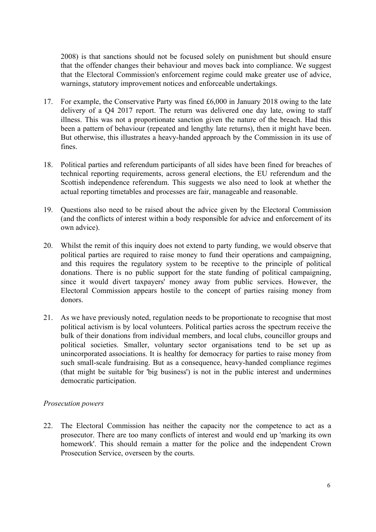2008) is that sanctions should not be focused solely on punishment but should ensure that the offender changes their behaviour and moves back into compliance. We suggest that the Electoral Commission's enforcement regime could make greater use of advice, warnings, statutory improvement notices and enforceable undertakings.

- 17. For example, the Conservative Party was fined £6,000 in January 2018 owing to the late delivery of a Q4 2017 report. The return was delivered one day late, owing to staff illness. This was not a proportionate sanction given the nature of the breach. Had this been a pattern of behaviour (repeated and lengthy late returns), then it might have been. But otherwise, this illustrates a heavy-handed approach by the Commission in its use of fines.
- 18. Political parties and referendum participants of all sides have been fined for breaches of technical reporting requirements, across general elections, the EU referendum and the Scottish independence referendum. This suggests we also need to look at whether the actual reporting timetables and processes are fair, manageable and reasonable.
- 19. Questions also need to be raised about the advice given by the Electoral Commission (and the conflicts of interest within a body responsible for advice and enforcement of its own advice).
- 20. Whilst the remit of this inquiry does not extend to party funding, we would observe that political parties are required to raise money to fund their operations and campaigning, and this requires the regulatory system to be receptive to the principle of political donations. There is no public support for the state funding of political campaigning, since it would divert taxpayers' money away from public services. However, the Electoral Commission appears hostile to the concept of parties raising money from donors.
- 21. As we have previously noted, regulation needs to be proportionate to recognise that most political activism is by local volunteers. Political parties across the spectrum receive the bulk of their donations from individual members, and local clubs, councillor groups and political societies. Smaller, voluntary sector organisations tend to be set up as unincorporated associations. It is healthy for democracy for parties to raise money from such small-scale fundraising. But as a consequence, heavy-handed compliance regimes (that might be suitable for 'big business') is not in the public interest and undermines democratic participation.

#### *Prosecution powers*

22. The Electoral Commission has neither the capacity nor the competence to act as a prosecutor. There are too many conflicts of interest and would end up 'marking its own homework'. This should remain a matter for the police and the independent Crown Prosecution Service, overseen by the courts.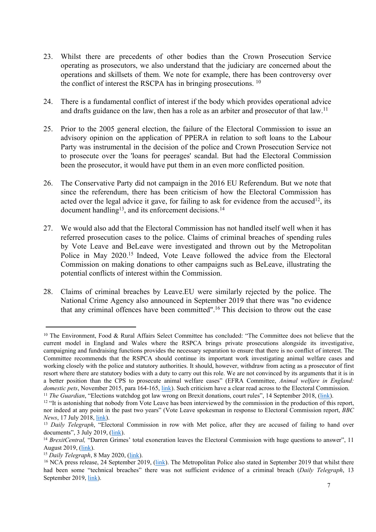- 23. Whilst there are precedents of other bodies than the Crown Prosecution Service operating as prosecutors, we also understand that the judiciary are concerned about the operations and skillsets of them. We note for example, there has been controversy over the conflict of interest the RSCPA has in bringing prosecutions. <sup>10</sup>
- 24. There is a fundamental conflict of interest if the body which provides operational advice and drafts guidance on the law, then has a role as an arbiter and prosecutor of that law.<sup>11</sup>
- 25. Prior to the 2005 general election, the failure of the Electoral Commission to issue an advisory opinion on the application of PPERA in relation to soft loans to the Labour Party was instrumental in the decision of the police and Crown Prosecution Service not to prosecute over the 'loans for peerages' scandal. But had the Electoral Commission been the prosecutor, it would have put them in an even more conflicted position.
- 26. The Conservative Party did not campaign in the 2016 EU Referendum. But we note that since the referendum, there has been criticism of how the Electoral Commission has acted over the legal advice it gave, for failing to ask for evidence from the accused<sup>12</sup>, its document handling<sup>13</sup>, and its enforcement decisions.<sup>14</sup>
- 27. We would also add that the Electoral Commission has not handled itself well when it has referred prosecution cases to the police. Claims of criminal breaches of spending rules by Vote Leave and BeLeave were investigated and thrown out by the Metropolitan Police in May 2020.<sup>15</sup> Indeed, Vote Leave followed the advice from the Electoral Commission on making donations to other campaigns such as BeLeave, illustrating the potential conflicts of interest within the Commission.
- 28. Claims of criminal breaches by Leave.EU were similarly rejected by the police. The National Crime Agency also announced in September 2019 that there was "no evidence that any criminal offences have been committed".<sup>16</sup> This decision to throw out the case

<sup>&</sup>lt;sup>10</sup> The Environment, Food & Rural Affairs Select Committee has concluded: "The Committee does not believe that the current model in England and Wales where the RSPCA brings private prosecutions alongside its investigative, campaigning and fundraising functions provides the necessary separation to ensure that there is no conflict of interest. The Committee recommends that the RSPCA should continue its important work investigating animal welfare cases and working closely with the police and statutory authorities. It should, however, withdraw from acting as a prosecutor of first resort where there are statutory bodies with a duty to carry out this role. We are not convinced by its arguments that it is in a better position than the CPS to prosecute animal welfare cases" (EFRA Committee, *Animal welfare in England: domestic pets*, November 2015, para 164-165, [link](https://publications.parliament.uk/pa/cm201617/cmselect/cmenvfru/117/11709.htm)). Such criticism have a clear read across to the Electoral Commission. <sup>11</sup> *The Guardian*, "Elections watchdog got law wrong on Brexit donations, court rules", 14 September 2018, ([link\)](https://www.theguardian.com/politics/2018/sep/14/electoral-commission-misinterpreted-law-vote-leave-high-court).

 $12$  "It is astonishing that nobody from Vote Leave has been interviewed by the commission in the production of this report, nor indeed at any point in the past two years" (Vote Leave spokesman in response to Electoral Commission report, *BBC News*, 17 July 2018, [link\)](https://www.bbc.co.uk/news/uk-politics-44856992).

<sup>&</sup>lt;sup>13</sup> *Daily Telegraph*, "Electoral Commission in row with Met police, after they are accused of failing to hand over documents", 3 July 2019, ([link](https://www.telegraph.co.uk/politics/2019/07/03/electoral-commission-row-met-police-accused-failing-hand-documents/)).

<sup>&</sup>lt;sup>14</sup> *BrexitCentral,* "Darren Grimes' total exoneration leaves the Electoral Commission with huge questions to answer", 11 August 2019, ([link](https://brexitcentral.com/darren-grimes-total-exoneration-leaves-the-electoral-commission-with-huge-questions-to-answer/)).

<sup>15</sup> *Daily Telegraph*, 8 May 2020, [\(link\)](https://www.telegraph.co.uk/politics/2020/05/08/police-drop-investigation-brexit-campaigners-accused-breaching/).

<sup>&</sup>lt;sup>16</sup> NCA press release, 24 September 2019, [\(link\)](https://nationalcrimeagency.gov.uk/news/public-statement-on-nca-investigation-into-suspected-eu-referendum-offences). The Metropolitan Police also stated in September 2019 that whilst there had been some "technical breaches" there was not sufficient evidence of a criminal breach (*Daily Telegraph*, 13 September 2019, [link\)](https://www.telegraph.co.uk/politics/2019/09/13/scotland-yard-finds-insufficient-evidence-continue-investigating/).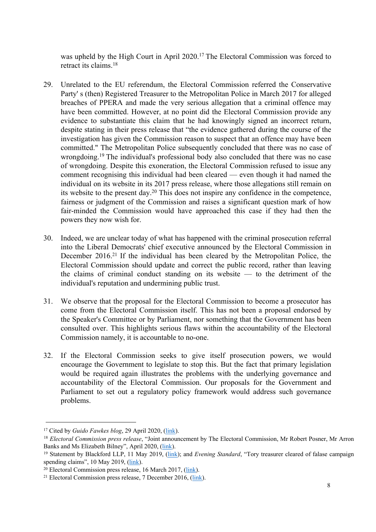was upheld by the High Court in April 2020.<sup>17</sup> The Electoral Commission was forced to retract its claims.<sup>18</sup>

- 29. Unrelated to the EU referendum, the Electoral Commission referred the Conservative Party' s (then) Registered Treasurer to the Metropolitan Police in March 2017 for alleged breaches of PPERA and made the very serious allegation that a criminal offence may have been committed. However, at no point did the Electoral Commission provide any evidence to substantiate this claim that he had knowingly signed an incorrect return, despite stating in their press release that "the evidence gathered during the course of the investigation has given the Commission reason to suspect that an offence may have been committed." The Metropolitan Police subsequently concluded that there was no case of wrongdoing.<sup>19</sup> The individual's professional body also concluded that there was no case of wrongdoing. Despite this exoneration, the Electoral Commission refused to issue any comment recognising this individual had been cleared — even though it had named the individual on its website in its 2017 press release, where those allegations still remain on its website to the present day.<sup>20</sup> This does not inspire any confidence in the competence, fairness or judgment of the Commission and raises a significant question mark of how fair-minded the Commission would have approached this case if they had then the powers they now wish for.
- 30. Indeed, we are unclear today of what has happened with the criminal prosecution referral into the Liberal Democrats' chief executive announced by the Electoral Commission in December 2016.<sup>21</sup> If the individual has been cleared by the Metropolitan Police, the Electoral Commission should update and correct the public record, rather than leaving the claims of criminal conduct standing on its website — to the detriment of the individual's reputation and undermining public trust.
- 31. We observe that the proposal for the Electoral Commission to become a prosecutor has come from the Electoral Commission itself. This has not been a proposal endorsed by the Speaker's Committee or by Parliament, nor something that the Government has been consulted over. This highlights serious flaws within the accountability of the Electoral Commission namely, it is accountable to no-one.
- 32. If the Electoral Commission seeks to give itself prosecution powers, we would encourage the Government to legislate to stop this. But the fact that primary legislation would be required again illustrates the problems with the underlying governance and accountability of the Electoral Commission. Our proposals for the Government and Parliament to set out a regulatory policy framework would address such governance problems.

<sup>17</sup> Cited by *Guido Fawkes blog*, 29 April 2020, [\(link\)](https://order-order.com/2020/04/29/breaking-aaron-banks-wins-electoral-commission-withdraws-allegations/).

<sup>18</sup> *Electoral Commission press release*, "Joint announcement by The Electoral Commission, Mr Robert Posner, Mr Arron Banks and Ms Elizabeth Bilney", April 2020, ([link](https://www.electoralcommission.org.uk/media-centre/joint-announcement-electoral-commission-mr-robert-posner-mr-arron-banks-and-ms-elizabeth-bilney)).

<sup>19</sup> Statement by Blackford LLP, 11 May 2019, ([link](https://blackfords.com/simon-day-police-investigation-election/)); and *Evening Standard*, "Tory treasurer cleared of falase campaign spending claims", 10 May 2019, ([link](https://mysite2.no10.gov.uk/personal/SWestlake/Documents/Personal%20Documents/Electoral/Electoral%20Commission/%22https:/www.standard.co.uk/news/politics/tory-treasurer-cleared-of-false-campaign-spending-claims-a4139311.html)).

 $^{20}$  Electoral Commission press release, 16 March 2017, ([link](https://www.electoralcommission.org.uk/conservative-party-fined-ps70000-following-investigation-election-campaign-expenses)).

<sup>21</sup> Electoral Commission press release, 7 December 2016, ([link](https://www.electoralcommission.org.uk/electoral-commission-calls-stronger-powers-sanction-political-parties-liberal-democrats-are-fined)).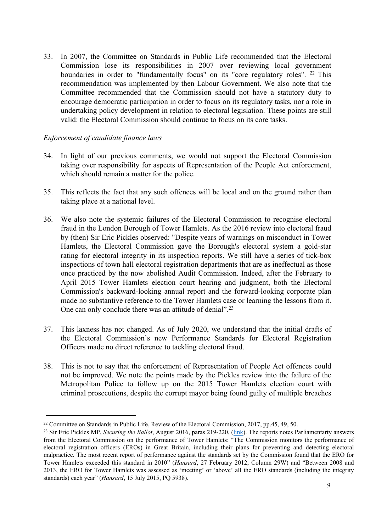33. In 2007, the Committee on Standards in Public Life recommended that the Electoral Commission lose its responsibilities in 2007 over reviewing local government boundaries in order to "fundamentally focus" on its "core regulatory roles". <sup>22</sup> This recommendation was implemented by then Labour Government. We also note that the Committee recommended that the Commission should not have a statutory duty to encourage democratic participation in order to focus on its regulatory tasks, nor a role in undertaking policy development in relation to electoral legislation. These points are still valid: the Electoral Commission should continue to focus on its core tasks.

#### *Enforcement of candidate finance laws*

- 34. In light of our previous comments, we would not support the Electoral Commission taking over responsibility for aspects of Representation of the People Act enforcement, which should remain a matter for the police.
- 35. This reflects the fact that any such offences will be local and on the ground rather than taking place at a national level.
- 36. We also note the systemic failures of the Electoral Commission to recognise electoral fraud in the London Borough of Tower Hamlets. As the 2016 review into electoral fraud by (then) Sir Eric Pickles observed: "Despite years of warnings on misconduct in Tower Hamlets, the Electoral Commission gave the Borough's electoral system a gold-star rating for electoral integrity in its inspection reports. We still have a series of tick-box inspections of town hall electoral registration departments that are as ineffectual as those once practiced by the now abolished Audit Commission. Indeed, after the February to April 2015 Tower Hamlets election court hearing and judgment, both the Electoral Commission's backward-looking annual report and the forward-looking corporate plan made no substantive reference to the Tower Hamlets case or learning the lessons from it. One can only conclude there was an attitude of denial".<sup>23</sup>
- 37. This laxness has not changed. As of July 2020, we understand that the initial drafts of the Electoral Commission's new Performance Standards for Electoral Registration Officers made no direct reference to tackling electoral fraud.
- 38. This is not to say that the enforcement of Representation of People Act offences could not be improved. We note the points made by the Pickles review into the failure of the Metropolitan Police to follow up on the 2015 Tower Hamlets election court with criminal prosecutions, despite the corrupt mayor being found guilty of multiple breaches

<sup>22</sup> Committee on Standards in Public Life, Review of the Electoral Commission, 2017, pp.45, 49, 50.

<sup>23</sup> Sir Eric Pickles MP, *Securing the Ballot*, August 2016, paras 219-220, ([link](https://www.gov.uk/government/publications/securing-the-ballot-review-into-electoral-fraud)). The reports notes Parliamentarty answers from the Electoral Commission on the performance of Tower Hamlets: "The Commission monitors the performance of electoral registration officers (EROs) in Great Britain, including their plans for preventing and detecting electoral malpractice. The most recent report of performance against the standards set by the Commission found that the ERO for Tower Hamlets exceeded this standard in 2010" (*Hansard*, 27 February 2012, Column 29W) and "Between 2008 and 2013, the ERO for Tower Hamlets was assessed as 'meeting' or 'above' all the ERO standards (including the integrity standards) each year" (*Hansard*, 15 July 2015, PQ 5938).